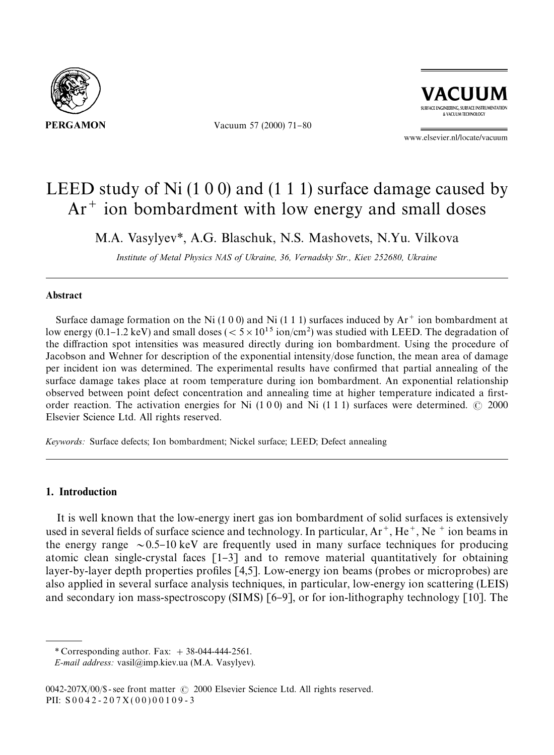

Vacuum 57 (2000) 71-80



www.elsevier.nl/locate/vacuum

# LEED study of Ni (1 0 0) and (1 1 1) surface damage caused by  $Ar<sup>+</sup>$  ion bombardment with low energy and small doses

M.A. Vasylyev*\**, A.G. Blaschuk, N.S. Mashovets, N.Yu. Vilkova

*Institute of Metal Physics NAS of Ukraine, 36, Vernadsky Str., Kiev 252680, Ukraine*

#### Abstract

Surface damage formation on the Ni (1 0 0) and Ni (1 1 1) surfaces induced by  $Ar^+$  ion bombardment at low energy (0.1–1.2 keV) and small doses ( $< 5 \times 10^{15}$  ion/cm<sup>2</sup>) was studied with LEED. The degradation of the diffraction spot intensities was measured directly during ion bombardment. Using the procedure of Jacobson and Wehner for description of the exponential intensity/dose function, the mean area of damage per incident ion was determined. The experimental results have confirmed that partial annealing of the surface damage takes place at room temperature during ion bombardment. An exponential relationship observed between point defect concentration and annealing time at higher temperature indicated a firstorder reaction. The activation energies for Ni  $(1\ 0\ 0)$  and Ni  $(1\ 1\ 1)$  surfaces were determined.  $\odot$  2000 Elsevier Science Ltd. All rights reserved.

*Keywords:* Surface defects; Ion bombardment; Nickel surface; LEED; Defect annealing

## 1. Introduction

It is well known that the low-energy inert gas ion bombardment of solid surfaces is extensively used in several fields of surface science and technology. In particular,  $Ar^+$ , He<sup> $+$ </sup>, Ne  $^+$  ion beams in the energy range  $\sim 0.5{\text -}10 \,\text{keV}$  are frequently used in many surface techniques for producing atomic clean single-crystal faces  $\lceil 1-3 \rceil$  and to remove material quantitatively for obtaining layer-by-layer depth properties profiles  $\lceil 4, 5 \rceil$ . Low-energy ion beams (probes or microprobes) are also applied in several surface analysis techniques, in particular, low-energy ion scattering (LEIS) and secondary ion mass-spectroscopy (SIMS)  $[6-9]$ , or for ion-lithography technology  $[10]$ . The

*<sup>\*</sup>* Corresponding author. Fax: #38-044-444-2561.

*E-mail address:* vasil@imp.kiev.ua (M.A. Vasylyev).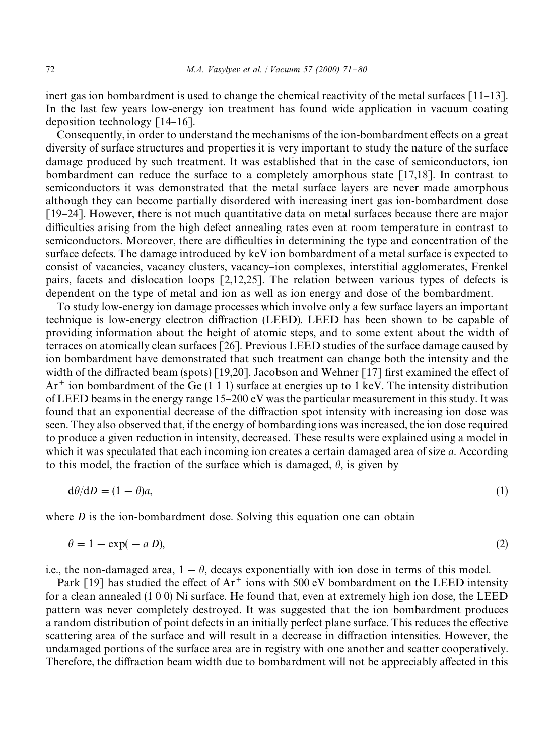inert gas ion bombardment is used to change the chemical reactivity of the metal surfaces  $\lceil 11-13 \rceil$ . In the last few years low-energy ion treatment has found wide application in vacuum coating deposition technology  $[14-16]$ .

Consequently, in order to understand the mechanisms of the ion-bombardment effects on a great diversity of surface structures and properties it is very important to study the nature of the surface damage produced by such treatment. It was established that in the case of semiconductors, ion bombardment can reduce the surface to a completely amorphous state [17,18]. In contrast to semiconductors it was demonstrated that the metal surface layers are never made amorphous although they can become partially disordered with increasing inert gas ion-bombardment dose  $[19–24]$ . However, there is not much quantitative data on metal surfaces because there are major difficulties arising from the high defect annealing rates even at room temperature in contrast to semiconductors. Moreover, there are difficulties in determining the type and concentration of the surface defects. The damage introduced by keV ion bombardment of a metal surface is expected to consist of vacancies, vacancy clusters, vacancy-ion complexes, interstitial agglomerates, Frenkel pairs, facets and dislocation loops [2,12,25]. The relation between various types of defects is dependent on the type of metal and ion as well as ion energy and dose of the bombardment.

To study low-energy ion damage processes which involve only a few surface layers an important technique is low-energy electron diffraction (LEED). LEED has been shown to be capable of providing information about the height of atomic steps, and to some extent about the width of terraces on atomically clean surfaces [26]. Previous LEED studies of the surface damage caused by ion bombardment have demonstrated that such treatment can change both the intensity and the width of the diffracted beam (spots) [19,20]. Jacobson and Wehner [17] first examined the effect of  $Ar^+$  ion bombardment of the Ge (1 1 1) surface at energies up to 1 keV. The intensity distribution of LEED beams in the energy range 15-200 eV was the particular measurement in this study. It was found that an exponential decrease of the diffraction spot intensity with increasing ion dose was seen. They also observed that, if the energy of bombarding ions was increased, the ion dose required to produce a given reduction in intensity, decreased. These results were explained using a model in which it was speculated that each incoming ion creates a certain damaged area of size *a*. According to this model, the fraction of the surface which is damaged,  $\theta$ , is given by

$$
d\theta/dD = (1 - \theta)a,\tag{1}
$$

where *D* is the ion-bombardment dose. Solving this equation one can obtain

$$
\theta = 1 - \exp(-a D),\tag{2}
$$

i.e., the non-damaged area,  $1 - \theta$ , decays exponentially with ion dose in terms of this model.

Park [19] has studied the effect of  $Ar^+$  ions with 500 eV bombardment on the LEED intensity for a clean annealed (1 0 0) Ni surface. He found that, even at extremely high ion dose, the LEED pattern was never completely destroyed. It was suggested that the ion bombardment produces a random distribution of point defects in an initially perfect plane surface. This reduces the effective scattering area of the surface and will result in a decrease in diffraction intensities. However, the undamaged portions of the surface area are in registry with one another and scatter cooperatively. Therefore, the diffraction beam width due to bombardment will not be appreciably affected in this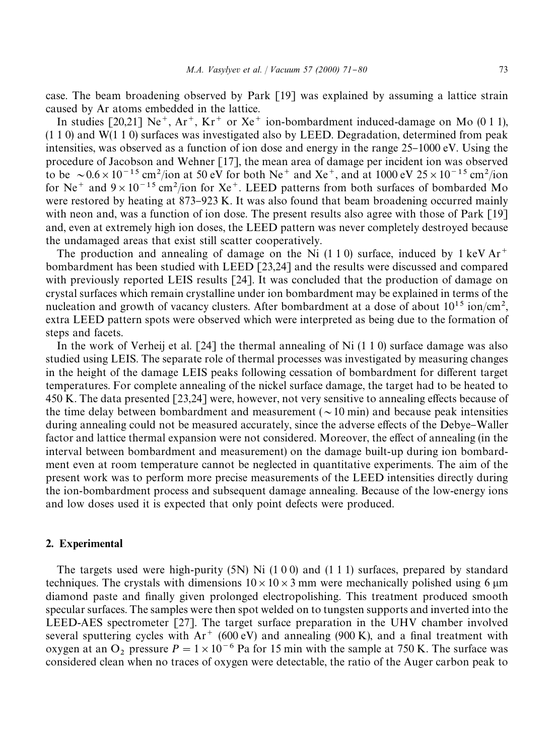case. The beam broadening observed by Park [19] was explained by assuming a lattice strain caused by Ar atoms embedded in the lattice.

In studies  $[20,21]$  Ne<sup>+</sup>, Ar<sup>+</sup>, Kr<sup>+</sup> or Xe<sup>+</sup> ion-bombardment induced-damage on Mo (0 1 1), (1 1 0) and W(1 1 0) surfaces was investigated also by LEED. Degradation, determined from peak intensities, was observed as a function of ion dose and energy in the range  $25-1000$  eV. Using the procedure of Jacobson and Wehner [17], the mean area of damage per incident ion was observed to be  $\sim 0.6 \times 10^{-15}$  cm<sup>2</sup>/ion at 50 eV for both Ne<sup>+</sup> and Xe<sup>+</sup>, and at 1000 eV 25  $\times 10^{-15}$  cm<sup>2</sup>/ion for Ne<sup>+</sup> and  $9 \times 10^{-15}$  cm<sup>2</sup>/ion for Xe<sup>+</sup>. LEED patterns from both surfaces of bombarded Mo were restored by heating at  $873-923$  K. It was also found that beam broadening occurred mainly with neon and, was a function of ion dose. The present results also agree with those of Park [19] and, even at extremely high ion doses, the LEED pattern was never completely destroyed because the undamaged areas that exist still scatter cooperatively.

The production and annealing of damage on the Ni  $(1 1 0)$  surface, induced by 1 keV Ar<sup>+</sup> bombardment has been studied with LEED [23,24] and the results were discussed and compared with previously reported LEIS results [24]. It was concluded that the production of damage on crystal surfaces which remain crystalline under ion bombardment may be explained in terms of the nucleation and growth of vacancy clusters. After bombardment at a dose of about  $10^{15}$  ion/cm<sup>2</sup>, extra LEED pattern spots were observed which were interpreted as being due to the formation of steps and facets.

In the work of Verheij et al.  $[24]$  the thermal annealing of Ni  $(1 1 0)$  surface damage was also studied using LEIS. The separate role of thermal processes was investigated by measuring changes in the height of the damage LEIS peaks following cessation of bombardment for different target temperatures. For complete annealing of the nickel surface damage, the target had to be heated to 450 K. The data presented  $[23,24]$  were, however, not very sensitive to annealing effects because of the time delay between bombardment and measurement  $({\sim}10 \text{ min})$  and because peak intensities during annealing could not be measured accurately, since the adverse effects of the Debye–Waller factor and lattice thermal expansion were not considered. Moreover, the effect of annealing (in the interval between bombardment and measurement) on the damage built-up during ion bombardment even at room temperature cannot be neglected in quantitative experiments. The aim of the present work was to perform more precise measurements of the LEED intensities directly during the ion-bombardment process and subsequent damage annealing. Because of the low-energy ions and low doses used it is expected that only point defects were produced.

## 2. Experimental

The targets used were high-purity  $(5N)$  Ni  $(1\ 0\ 0)$  and  $(1\ 1\ 1)$  surfaces, prepared by standard techniques. The crystals with dimensions  $10 \times 10 \times 3$  mm were mechanically polished using 6  $\mu$ m diamond paste and finally given prolonged electropolishing. This treatment produced smooth specular surfaces. The samples were then spot welded on to tungsten supports and inverted into the LEED-AES spectrometer [27]. The target surface preparation in the UHV chamber involved several sputtering cycles with  $Ar^+$  (600 eV) and annealing (900 K), and a final treatment with oxygen at an  $O_2$  pressure  $P = 1 \times 10^{-6}$  Pa for 15 min with the sample at 750 K. The surface was considered clean when no traces of oxygen were detectable, the ratio of the Auger carbon peak to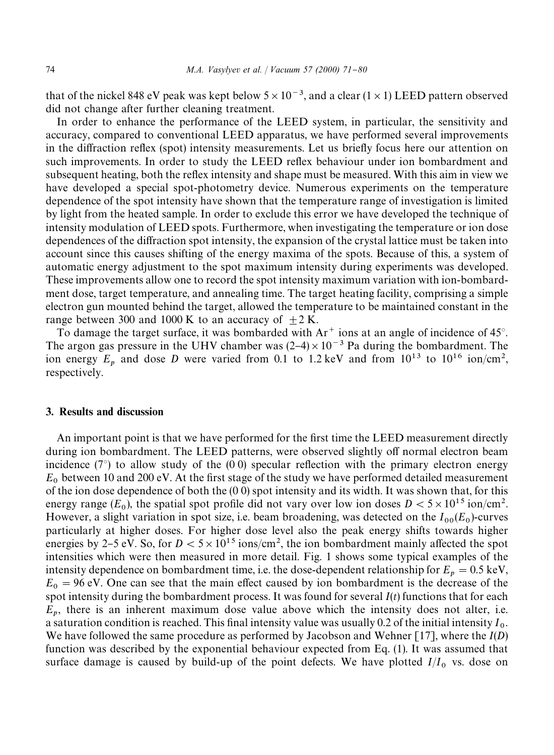that of the nickel 848 eV peak was kept below  $5 \times 10^{-3}$ , and a clear (1  $\times$  1) LEED pattern observed did not change after further cleaning treatment.

In order to enhance the performance of the LEED system, in particular, the sensitivity and accuracy, compared to conventional LEED apparatus, we have performed several improvements in the diffraction reflex (spot) intensity measurements. Let us briefly focus here our attention on such improvements. In order to study the LEED reflex behaviour under ion bombardment and subsequent heating, both the reflex intensity and shape must be measured. With this aim in view we have developed a special spot-photometry device. Numerous experiments on the temperature dependence of the spot intensity have shown that the temperature range of investigation is limited by light from the heated sample. In order to exclude this error we have developed the technique of intensity modulation of LEED spots. Furthermore, when investigating the temperature or ion dose dependences of the diffraction spot intensity, the expansion of the crystal lattice must be taken into account since this causes shifting of the energy maxima of the spots. Because of this, a system of automatic energy adjustment to the spot maximum intensity during experiments was developed. These improvements allow one to record the spot intensity maximum variation with ion-bombardment dose, target temperature, and annealing time. The target heating facility, comprising a simple electron gun mounted behind the target, allowed the temperature to be maintained constant in the range between 300 and 1000 K to an accuracy of  $\pm 2$  K.

To damage the target surface, it was bombarded with  $Ar^+$  ions at an angle of incidence of 45 $^{\circ}$ . The argon gas pressure in the UHV chamber was  $(2-4) \times 10^{-3}$  Pa during the bombardment. The ion energy  $E_p$  and dose *D* were varied from 0.1 to 1.2 keV and from  $10^{13}$  to  $10^{16}$  ion/cm<sup>2</sup>, respectively.

#### 3. Results and discussion

An important point is that we have performed for the first time the LEED measurement directly during ion bombardment. The LEED patterns, were observed slightly off normal electron beam incidence  $(7^{\circ})$  to allow study of the  $(0\ 0)$  specular reflection with the primary electron energy  $E_0$  between 10 and 200 eV. At the first stage of the study we have performed detailed measurement of the ion dose dependence of both the  $(0\ 0)$  spot intensity and its width. It was shown that, for this energy range  $(E_0)$ , the spatial spot profile did not vary over low ion doses  $D < 5 \times 10^{15}$  ion/cm<sup>2</sup>. However, a slight variation in spot size, i.e. beam broadening, was detected on the  $I_{00}(E_0)$ -curves particularly at higher doses. For higher dose level also the peak energy shifts towards higher energies by 2–5 eV. So, for  $D < 5 \times 10^{15}$  ions/cm<sup>2</sup>, the ion bombardment mainly affected the spot intensities which were then measured in more detail. Fig. 1 shows some typical examples of the intensity dependence on bombardment time, i.e. the dose-dependent relationship for  $E_p = 0.5 \text{ keV}$ ,  $E_0 = 96$  eV. One can see that the main effect caused by ion bombardment is the decrease of the spot intensity during the bombardment process. It was found for several *I*(*t*) functions that for each  $E_p$ , there is an inherent maximum dose value above which the intensity does not alter, i.e. a saturation condition is reached. This final intensity value was usually 0.2 of the initial intensity  $I_0$ . We have followed the same procedure as performed by Jacobson and Wehner [17], where the *I*(*D*) function was described by the exponential behaviour expected from Eq. (1). It was assumed that surface damage is caused by build-up of the point defects. We have plotted  $I/I_0$  vs. dose on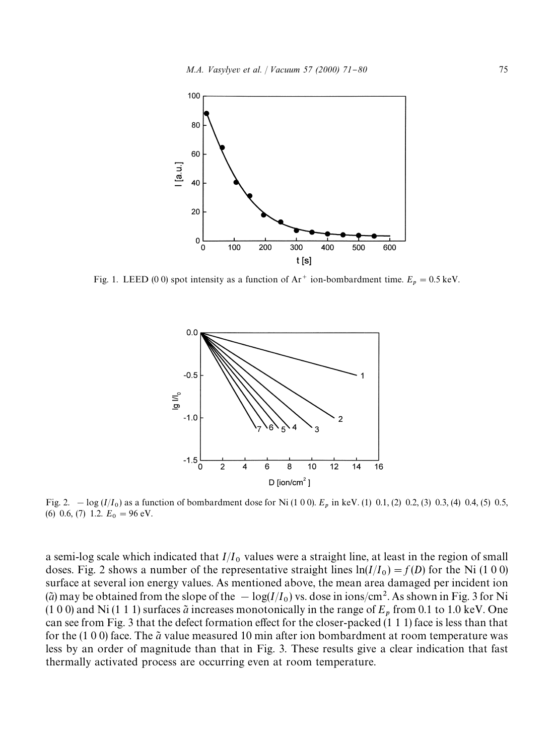

Fig. 1. LEED (0.0) spot intensity as a function of  $Ar^+$  ion-bombardment time.  $E_p = 0.5 \text{ keV}$ .



Fig. 2.  $-\log (I/I_0)$  as a function of bombardment dose for Ni (1 0 0).  $E_p$  in keV. (1) 0.1, (2) 0.2, (3) 0.3, (4) 0.4, (5) 0.5, (6) 0.6, (7) 1.2.  $E_0 = 96 \text{ eV}$ .

a semi-log scale which indicated that  $I/I_0$  values were a straight line, at least in the region of small doses. Fig. 2 shows a number of the representative straight lines  $ln(I/I_0) = f(D)$  for the Ni (1 0 0) surface at several ion energy values. As mentioned above, the mean area damaged per incident ion ( $\tilde{a}$ ) may be obtained from the slope of the  $-\log(I/I_0)$  vs. dose in ions/cm<sup>2</sup>. As shown in Fig. 3 for Ni  $(1\ 0\ 0)$  and Ni $(1\ 1\ 1)$  surfaces  $\tilde{a}$  increases monotonically in the range of  $E_p$  from 0.1 to 1.0 keV. One can see from Fig. 3 that the defect formation effect for the closer-packed  $(1\ 1\ 1)$  face is less than that for the  $(1\ 0\ 0)$  face. The  $\tilde{a}$  value measured 10 min after ion bombardment at room temperature was less by an order of magnitude than that in Fig. 3. These results give a clear indication that fast thermally activated process are occurring even at room temperature.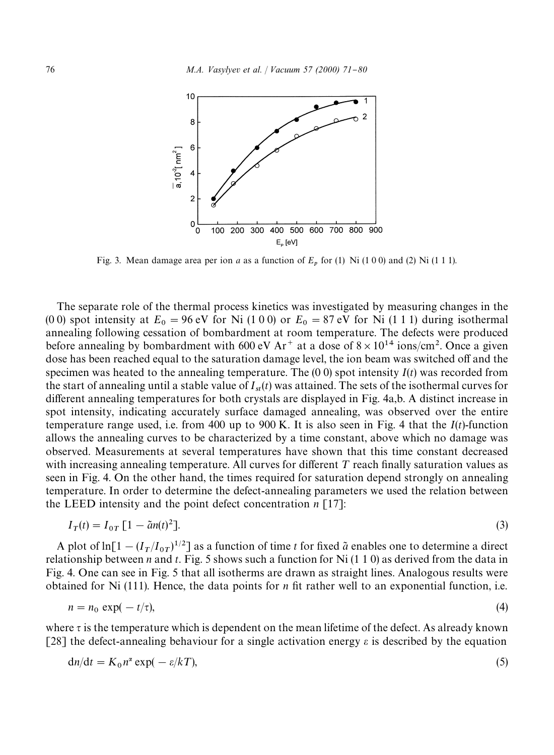

Fig. 3. Mean damage area per ion *a* as a function of  $E_p$  for (1) Ni (1 0 0) and (2) Ni (1 1 1).

The separate role of the thermal process kinetics was investigated by measuring changes in the (0 0) spot intensity at  $E_0 = 96$  eV for Ni (1 0 0) or  $E_0 = 87$  eV for Ni (1 1 1) during isothermal annealing following cessation of bombardment at room temperature. The defects were produced before annealing by bombardment with 600 eV Ar<sup>+</sup> at a dose of  $8 \times 10^{14}$  ions/cm<sup>2</sup>. Once a given dose has been reached equal to the saturation damage level, the ion beam was switched off and the specimen was heated to the annealing temperature. The  $(0\ 0)$  spot intensity  $I(t)$  was recorded from the start of annealing until a stable value of  $I_{st}(t)$  was attained. The sets of the isothermal curves for different annealing temperatures for both crystals are displayed in Fig. 4a,b. A distinct increase in spot intensity, indicating accurately surface damaged annealing, was observed over the entire temperature range used, i.e. from 400 up to 900 K. It is also seen in Fig. 4 that the *I*(*t*)-function allows the annealing curves to be characterized by a time constant, above which no damage was observed. Measurements at several temperatures have shown that this time constant decreased with increasing annealing temperature. All curves for different  $T$  reach finally saturation values as seen in Fig. 4. On the other hand, the times required for saturation depend strongly on annealing temperature. In order to determine the defect-annealing parameters we used the relation between the LEED intensity and the point defect concentration *n* [17]:

$$
I_T(t) = I_{0T} \left[ 1 - \tilde{a}n(t)^2 \right]. \tag{3}
$$

A plot of ln[1  $-(I_T/I_{0T})^{1/2}$ ] as a function of time *t* for fixed  $\tilde{a}$  enables one to determine a direct relationship between *n* and *t*. Fig. 5 shows such a function for Ni (1 1 0) as derived from the data in Fig. 4. One can see in Fig. 5 that all isotherms are drawn as straight lines. Analogous results were obtained for Ni (111). Hence, the data points for *n* fit rather well to an exponential function, i.e.

$$
n = n_0 \exp(-t/\tau), \tag{4}
$$

where  $\tau$  is the temperature which is dependent on the mean lifetime of the defect. As already known [28] the defect-annealing behaviour for a single activation energy  $\varepsilon$  is described by the equation

$$
dn/dt = K_0 n^{\alpha} \exp(-\varepsilon/kT),
$$
\n(5)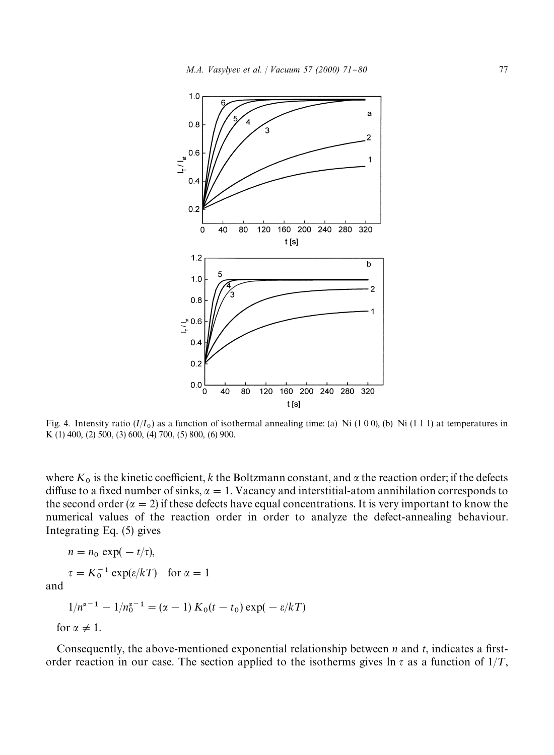

Fig. 4. Intensity ratio  $(I/I_0)$  as a function of isothermal annealing time: (a) Ni (1 0 0), (b) Ni (1 1 1) at temperatures in<br>  $\mathbf{F}(t)$  the contract  $(0, 500, 600, 600, 600, 600, 600, 600)$ K (1) 400, (2) 500, (3) 600, (4) 700, (5) 800, (6) 900.

where  $K_0$  is the kinetic coefficient, *k* the Boltzmann constant, and  $\alpha$  the reaction order; if the defects diffuse to a fixed number of sinks,  $\alpha = 1$ . Vacancy and interstitial-atom annihilation corresponds to the second order ( $\alpha = 2$ ) if these defects have equal concentrations. It is very important to know the numerical values of the reaction order in order to analyze the defect-annealing behaviour. Integrating Eq. (5) gives

$$
n = n_0 \exp(-t/\tau),
$$
  
\n
$$
\tau = K_0^{-1} \exp(\varepsilon/kT) \text{ for } \alpha = 1
$$
  
\nand

$$
1/n^{\alpha-1} - 1/n_0^{\alpha-1} = (\alpha - 1) K_0(t - t_0) \exp(-\varepsilon/kT)
$$
  
for  $\alpha \neq 1$ .

Consequently, the above-mentioned exponential relationship between  $n$  and  $t$ , indicates a firstorder reaction in our case. The section applied to the isotherms gives  $\ln \tau$  as a function of  $1/T$ ,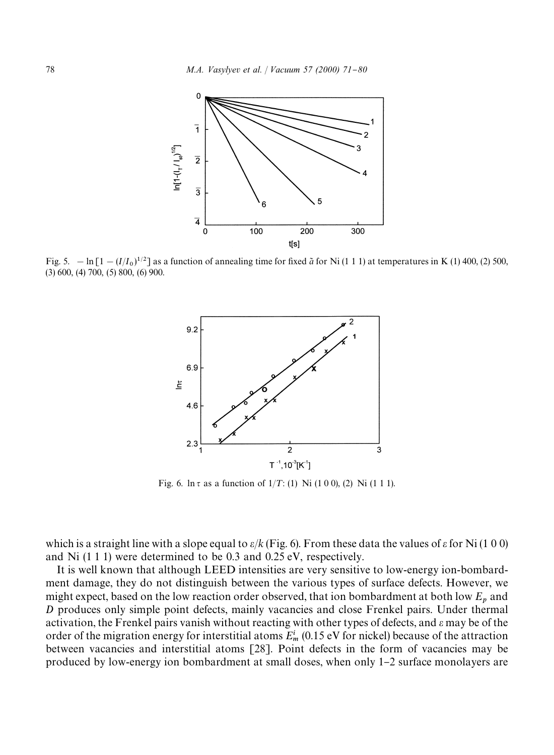

Fig. 5.  $-\ln [1 - (I/I_0)^{1/2}]$  as a function of annealing time for fixed  $\tilde{a}$  for Ni (1 1 1) at temperatures in K (1) 400, (2) 500, (3) 600, (4) 700, (5) 800, (6) 900.



Fig. 6.  $\ln \tau$  as a function of  $1/T$ : (1) Ni (1 0 0), (2) Ni (1 1 1).

which is a straight line with a slope equal to  $\varepsilon/k$  (Fig. 6). From these data the values of  $\varepsilon$  for Ni (1 0 0) and Ni (1 1 1) were determined to be 0.3 and 0.25 eV, respectively.

It is well known that although LEED intensities are very sensitive to low-energy ion-bombardment damage, they do not distinguish between the various types of surface defects. However, we might expect, based on the low reaction order observed, that ion bombardment at both low  $E_p$  and *D* produces only simple point defects, mainly vacancies and close Frenkel pairs. Under thermal activation, the Frenkel pairs vanish without reacting with other types of defects, and e may be of the order of the migration energy for interstitial atoms  $E_m^i$  (0.15 eV for nickel) because of the attraction between vacancies and interstitial atoms [28]. Point defects in the form of vacancies may be produced by low-energy ion bombardment at small doses, when only 1-2 surface monolayers are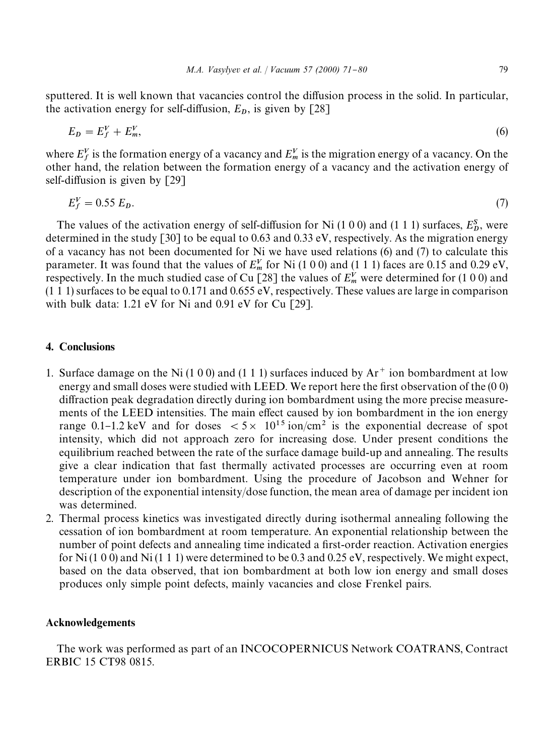$$
E_D = E_f^V + E_m^V,\tag{6}
$$

where  $E_f^V$  is the formation energy of a vacancy and  $E_m^V$  is the migration energy of a vacancy. On the other hand, the relation between the formation energy of a vacancy and the activation energy of self-diffusion is given by  $[29]$ 

$$
E_f^V = 0.55 \ E_D. \tag{7}
$$

The values of the activation energy of self-diffusion for Ni  $(1\ 0\ 0)$  and  $(1\ 1\ 1)$  surfaces,  $E_D^S$ , were determined in the study [30] to be equal to 0.63 and 0.33 eV, respectively. As the migration energy of a vacancy has not been documented for Ni we have used relations (6) and (7) to calculate this parameter. It was found that the values of  $E_m^V$  for Ni (1 0 0) and (1 1 1) faces are 0.15 and 0.29 eV, respectively. In the much studied case of Cu [28] the values of  $E_w^{\dot{V}}$  were determined for (1 0 0) and (1 1 1) surfaces to be equal to 0.171 and 0.655 eV, respectively. These values are large in comparison with bulk data: 1.21 eV for Ni and 0.91 eV for Cu [29].

## 4. Conclusions

- 1. Surface damage on the Ni (1 0 0) and (1 1 1) surfaces induced by  $Ar^+$  ion bombardment at low energy and small doses were studied with LEED. We report here the first observation of the  $(0\ 0)$ diffraction peak degradation directly during ion bombardment using the more precise measurements of the LEED intensities. The main effect caused by ion bombardment in the ion energy range 0.1–1.2 keV and for doses  $\langle 5 \times 10^{15} \text{ ion/cm}^2 \rangle$  is the exponential decrease of spot intensity, which did not approach zero for increasing dose. Under present conditions the equilibrium reached between the rate of the surface damage build-up and annealing. The results give a clear indication that fast thermally activated processes are occurring even at room temperature under ion bombardment. Using the procedure of Jacobson and Wehner for description of the exponential intensity/dose function, the mean area of damage per incident ion was determined.
- 2. Thermal process kinetics was investigated directly during isothermal annealing following the cessation of ion bombardment at room temperature. An exponential relationship between the number of point defects and annealing time indicated a first-order reaction. Activation energies for Ni (1 0 0) and Ni (1 1 1) were determined to be 0.3 and 0.25 eV, respectively. We might expect, based on the data observed, that ion bombardment at both low ion energy and small doses produces only simple point defects, mainly vacancies and close Frenkel pairs.

### Acknowledgements

The work was performed as part of an INCOCOPERNICUS Network COATRANS, Contract ERBIC 15 CT98 0815.